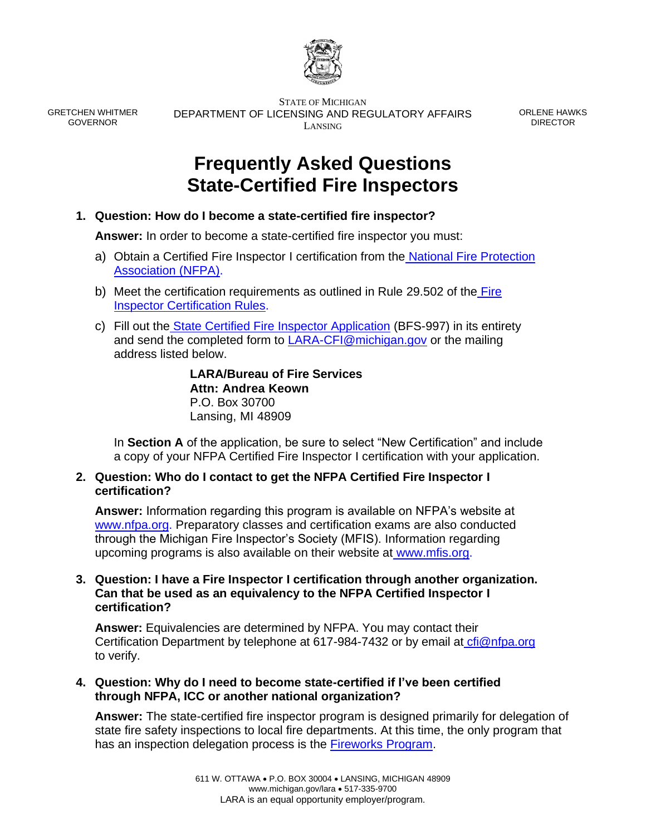

GRETCHEN WHITMER GOVERNOR

STATE OF MICHIGAN DEPARTMENT OF LICENSING AND REGULATORY AFFAIRS LANSING

ORLENE HAWKS DIRECTOR

# **Frequently Asked Questions State-Certified Fire Inspectors**

**1. Question: How do I become a state-certified fire inspector?** 

**Answer:** In order to become a state-certified fire inspector you must:

- a) Obtain a Certified Fire Inspector I certification from the [National Fire Protection](https://www.nfpa.org/Training-and-Events/Certification/Certification)  [Association \(NFPA\).](https://www.nfpa.org/Training-and-Events/Certification/Certification)
- b) Meet the certification requirements as outlined in Rule 29.502 of the [Fire](file:///S:/Fire%20Data/CFI%20Program/Fire%20Inspector%20Certification.html)  [Inspector Certification Rules.](file:///S:/Fire%20Data/CFI%20Program/Fire%20Inspector%20Certification.html)
- c) Fill out the [State Certified Fire Inspector Application](https://www.michigan.gov/documents/lara/Fillable_Certified_Fire_Inspector_Application_11_8_18_V2_638239_7_638533_7.pdf) (BFS-997) in its entirety and send the completed form to [LARA-CFI@michigan.gov](mailto:LARA-CFI@michigan.gov) or the mailing address listed below.

**LARA/Bureau of Fire Services Attn: Andrea Keown** P.O. Box 30700 Lansing, MI 48909

In **Section A** of the application, be sure to select "New Certification" and include a copy of your NFPA Certified Fire Inspector I certification with your application.

## **2. Question: Who do I contact to get the NFPA Certified Fire Inspector I certification?**

**Answer:** Information regarding this program is available on NFPA's website at [www.nfpa.org.](http://www.nfpa.org/Training-and-Events/By-type/Certifications/Certified-Fire-Inspector-I) Preparatory classes and certification exams are also conducted through the Michigan Fire Inspector's Society (MFIS). Information regarding upcoming programs is also available on their website at [www.mfis.org.](http://www.mfis.org/education.html)

## **3. Question: I have a Fire Inspector I certification through another organization. Can that be used as an equivalency to the NFPA Certified Inspector I certification?**

**Answer:** Equivalencies are determined by NFPA. You may contact their Certification Department by telephone at 617-984-7432 or by email at [cfi@nfpa.org](mailto:cfi@nfpa.org) to verify.

**4. Question: Why do I need to become state-certified if I've been certified through NFPA, ICC or another national organization?**

**Answer:** The state-certified fire inspector program is designed primarily for delegation of state fire safety inspections to local fire departments. At this time, the only program that has an inspection delegation process is the [Fireworks Program.](https://www.michigan.gov/lara/0,4601,7-154-89334_42271_59975---,00.html)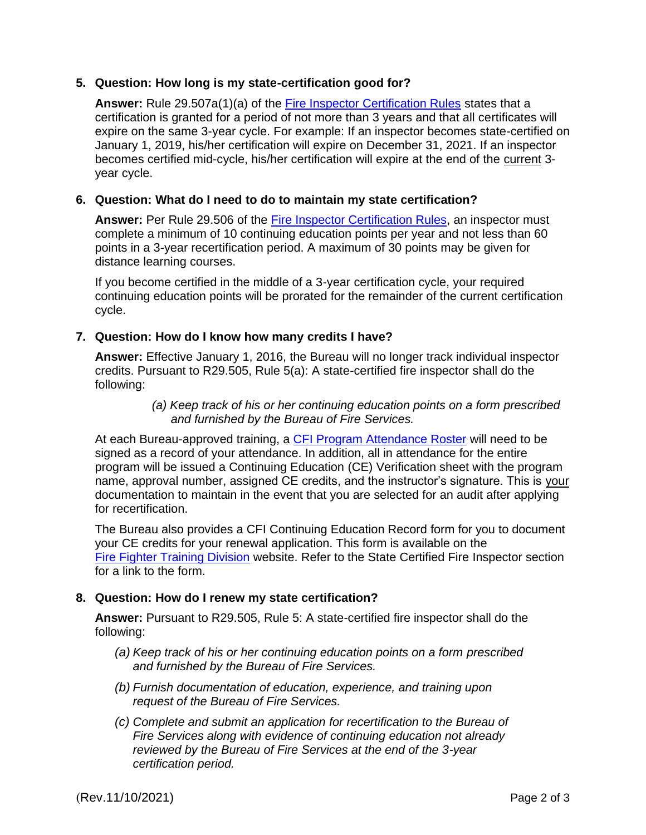### **5. Question: How long is my state-certification good for?**

Answer: Rule 29.507a(1)(a) of the **Fire Inspector Certification Rules** states that a certification is granted for a period of not more than 3 years and that all certificates will expire on the same 3-year cycle. For example: If an inspector becomes state-certified on January 1, 2019, his/her certification will expire on December 31, 2021. If an inspector becomes certified mid-cycle, his/her certification will expire at the end of the current 3 year cycle.

### **6. Question: What do I need to do to maintain my state certification?**

Answer: Per Rule 29.506 of the **Fire Inspector Certification Rules**, an inspector must complete a minimum of 10 continuing education points per year and not less than 60 points in a 3-year recertification period. A maximum of 30 points may be given for distance learning courses.

If you become certified in the middle of a 3-year certification cycle, your required continuing education points will be prorated for the remainder of the current certification cycle.

### **7. Question: How do I know how many credits I have?**

**Answer:** Effective January 1, 2016, the Bureau will no longer track individual inspector credits. Pursuant to R29.505, Rule 5(a): A state-certified fire inspector shall do the following:

> *(a) Keep track of his or her continuing education points on a form prescribed and furnished by the Bureau of Fire Services.*

At each Bureau-approved training, a [CFI Program Attendance Roster](http://www.michigan.gov/documents/lara/Program_Attendance_Roster_375009_7.pdf) will need to be signed as a record of your attendance. In addition, all in attendance for the entire program will be issued a Continuing Education (CE) Verification sheet with the program name, approval number, assigned CE credits, and the instructor's signature. This is your documentation to maintain in the event that you are selected for an audit after applying for recertification.

The Bureau also provides a CFI Continuing Education Record form for you to document your CE credits for your renewal application. This form is available on the [Fire Fighter Training Division](https://www.michigan.gov/lara/0,4601,7-154-89334_42271_42325---,00.html) website. Refer to the State Certified Fire Inspector section for a link to the form.

### **8. Question: How do I renew my state certification?**

**Answer:** Pursuant to R29.505, Rule 5: A state-certified fire inspector shall do the following:

- *(a) Keep track of his or her continuing education points on a form prescribed and furnished by the Bureau of Fire Services.*
- *(b) Furnish documentation of education, experience, and training upon request of the Bureau of Fire Services.*
- *(c) Complete and submit an application for recertification to the Bureau of Fire Services along with evidence of continuing education not already reviewed by the Bureau of Fire Services at the end of the 3-year certification period.*